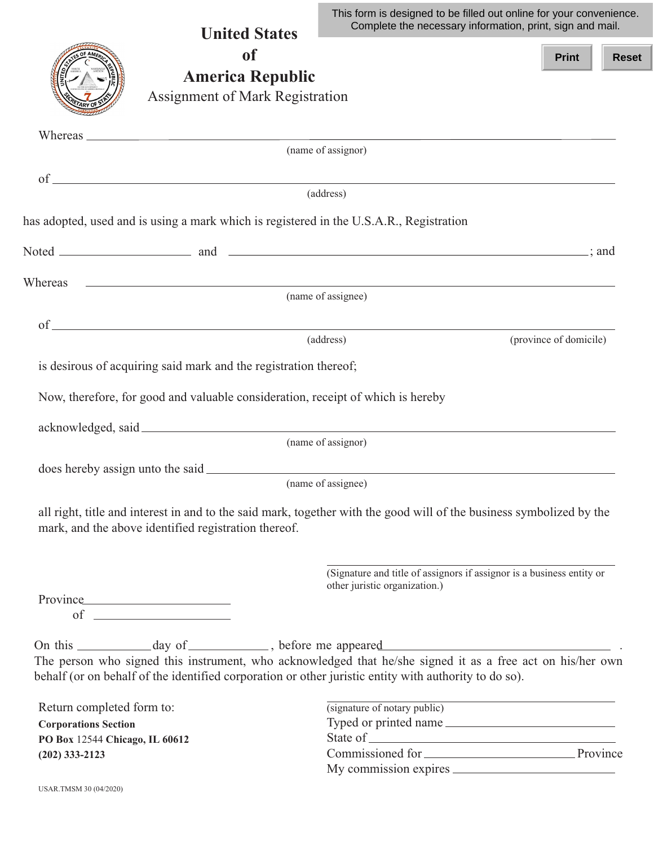|                                                                                                                | <b>United States</b>                                                                    | This form is designed to be filled out online for your convenience.<br>Complete the necessary information, print, sign and mail.                                                                                                                                                                                                                                                                                              |
|----------------------------------------------------------------------------------------------------------------|-----------------------------------------------------------------------------------------|-------------------------------------------------------------------------------------------------------------------------------------------------------------------------------------------------------------------------------------------------------------------------------------------------------------------------------------------------------------------------------------------------------------------------------|
|                                                                                                                | <b>of</b><br><b>America Republic</b><br><b>Assignment of Mark Registration</b>          | <b>Print</b><br><b>Reset</b>                                                                                                                                                                                                                                                                                                                                                                                                  |
|                                                                                                                |                                                                                         | Whereas <u>experience</u> and the contract of the contract of the contract of the contract of the contract of the contract of the contract of the contract of the contract of the contract of the contract of the contract of the c<br>(name of assignor)                                                                                                                                                                     |
|                                                                                                                |                                                                                         |                                                                                                                                                                                                                                                                                                                                                                                                                               |
|                                                                                                                | $of$ $\overline{\phantom{a}}$<br>(address)                                              |                                                                                                                                                                                                                                                                                                                                                                                                                               |
|                                                                                                                | has adopted, used and is using a mark which is registered in the U.S.A.R., Registration |                                                                                                                                                                                                                                                                                                                                                                                                                               |
|                                                                                                                |                                                                                         | Noted $\frac{1}{\sqrt{1-\frac{1}{\sqrt{1-\frac{1}{\sqrt{1-\frac{1}{\sqrt{1-\frac{1}{\sqrt{1-\frac{1}{\sqrt{1-\frac{1}{\sqrt{1-\frac{1}{\sqrt{1-\frac{1}{\sqrt{1-\frac{1}{\sqrt{1-\frac{1}{\sqrt{1-\frac{1}{\sqrt{1-\frac{1}{\sqrt{1-\frac{1}{\sqrt{1-\frac{1}{\sqrt{1-\frac{1}{\sqrt{1-\frac{1}{\sqrt{1-\frac{1}{\sqrt{1-\frac{1}{\sqrt{1-\frac{1}{\sqrt{1-\frac{1}{\sqrt{1-\frac{1}{\sqrt{1-\frac{1}{\sqrt{1-\frac{1}{\sqrt$ |
|                                                                                                                |                                                                                         | (name of assignee)                                                                                                                                                                                                                                                                                                                                                                                                            |
|                                                                                                                |                                                                                         |                                                                                                                                                                                                                                                                                                                                                                                                                               |
|                                                                                                                | $of$ $\overline{\phantom{a}}$                                                           | (address)<br>(province of domicile)                                                                                                                                                                                                                                                                                                                                                                                           |
|                                                                                                                | is desirous of acquiring said mark and the registration thereof;                        |                                                                                                                                                                                                                                                                                                                                                                                                                               |
|                                                                                                                | Now, therefore, for good and valuable consideration, receipt of which is hereby         |                                                                                                                                                                                                                                                                                                                                                                                                                               |
|                                                                                                                |                                                                                         | (name of assignor)                                                                                                                                                                                                                                                                                                                                                                                                            |
|                                                                                                                |                                                                                         |                                                                                                                                                                                                                                                                                                                                                                                                                               |
|                                                                                                                |                                                                                         | (name of assignee)                                                                                                                                                                                                                                                                                                                                                                                                            |
|                                                                                                                | mark, and the above identified registration thereof.                                    | all right, title and interest in and to the said mark, together with the good will of the business symbolized by the                                                                                                                                                                                                                                                                                                          |
| Province                                                                                                       | of $\qquad$                                                                             | (Signature and title of assignors if assignor is a business entity or<br>other juristic organization.)                                                                                                                                                                                                                                                                                                                        |
|                                                                                                                |                                                                                         | On this ___________ day of ___________, before me appeared<br>The person who signed this instrument, who acknowledged that he/she signed it as a free act on his/her own<br>behalf (or on behalf of the identified corporation or other juristic entity with authority to do so).                                                                                                                                             |
| Return completed form to:<br><b>Corporations Section</b><br>PO Box 12544 Chicago, IL 60612<br>$(202)$ 333-2123 |                                                                                         | (signature of notary public)<br>Typed or printed name                                                                                                                                                                                                                                                                                                                                                                         |
| USAR.TMSM 30 (04/2020)                                                                                         |                                                                                         |                                                                                                                                                                                                                                                                                                                                                                                                                               |